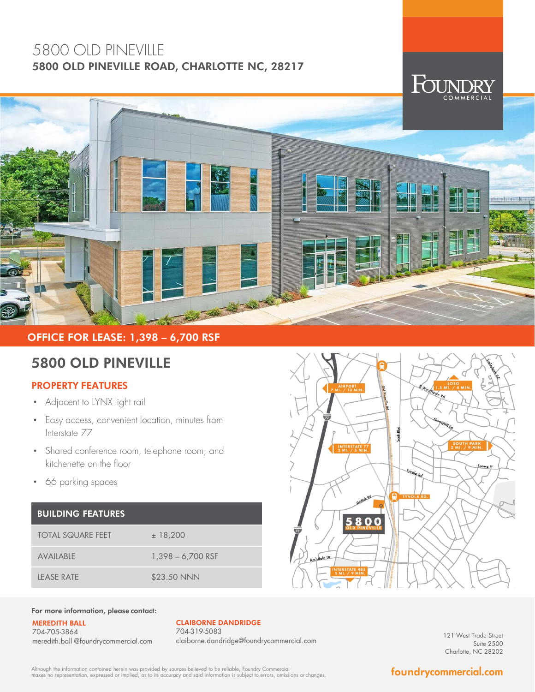## 5800 OLD PINEVILLE 5800 OLD PINEVILLE ROAD, CHARLOTTE NC, 28217



## OFFICE FOR LEASE: 1,398 – 6,700 RSF

# 5800 OLD PINEVILLE

### PROPERTY FEATURES

- Adjacent to LYNX light rail
- Easy access, convenient location, minutes from Interstate 77
- Shared conference room, telephone room, and kitchenette on the floor
- 66 parking spaces

#### BUILDING FEATURES

| TOTAL SQUARE FEET | ± 18,200            |
|-------------------|---------------------|
| AVAILABLE         | $1,398 - 6,700$ RSF |
| LEASE RATE        | \$23.50 NNN         |



#### For more information, please contact:

MEREDITH BALL 704-705-3864 meredith.ball @foundrycommercial.com

### CLAIBORNE DANDRIDGE

704-319-5083 claiborne.dandridge@foundrycommercial.com

121 West Trade Street Suite 2500 Charlotte, NC 28202

Although the information contained herein was provided by sources believed to be reliable, Foundry Commercial<br>makes no representation, expressed or implied, as to its accuracy and said information is subject to errors, omi